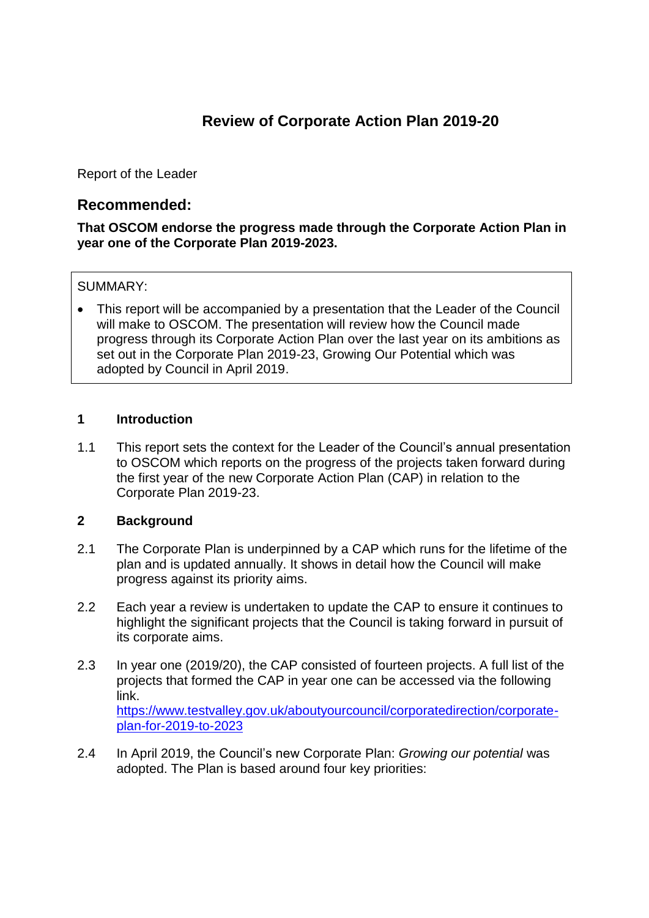# **Review of Corporate Action Plan 2019-20**

Report of the Leader

# **Recommended:**

### **That OSCOM endorse the progress made through the Corporate Action Plan in year one of the Corporate Plan 2019-2023.**

# SUMMARY:

 This report will be accompanied by a presentation that the Leader of the Council will make to OSCOM. The presentation will review how the Council made progress through its Corporate Action Plan over the last year on its ambitions as set out in the Corporate Plan 2019-23, Growing Our Potential which was adopted by Council in April 2019.

# **1 Introduction**

1.1 This report sets the context for the Leader of the Council's annual presentation to OSCOM which reports on the progress of the projects taken forward during the first year of the new Corporate Action Plan (CAP) in relation to the Corporate Plan 2019-23.

#### **2 Background**

- 2.1 The Corporate Plan is underpinned by a CAP which runs for the lifetime of the plan and is updated annually. It shows in detail how the Council will make progress against its priority aims.
- 2.2 Each year a review is undertaken to update the CAP to ensure it continues to highlight the significant projects that the Council is taking forward in pursuit of its corporate aims.
- 2.3 In year one (2019/20), the CAP consisted of fourteen projects. A full list of the projects that formed the CAP in year one can be accessed via the following link. [https://www.testvalley.gov.uk/aboutyourcouncil/corporatedirection/corporate](https://www.testvalley.gov.uk/aboutyourcouncil/corporatedirection/corporate-plan-for-2019-to-2023)[plan-for-2019-to-2023](https://www.testvalley.gov.uk/aboutyourcouncil/corporatedirection/corporate-plan-for-2019-to-2023)
- 2.4 In April 2019, the Council's new Corporate Plan: *Growing our potential* was adopted. The Plan is based around four key priorities: